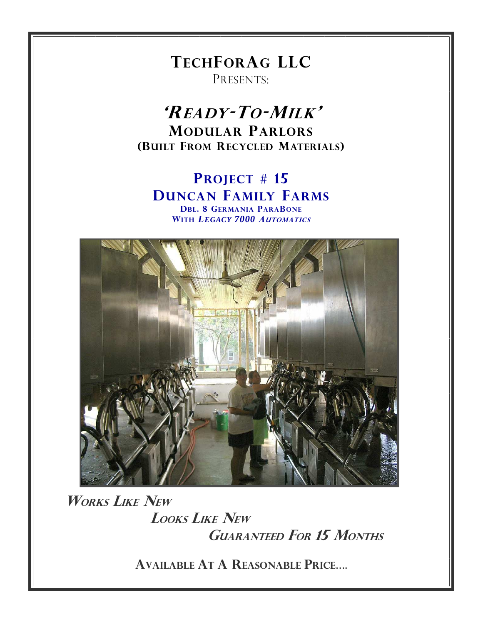**TECHFORAG LLC** PRESENTS:

'READY-TO-MILK' **MODULAR PARLORS** (BUILT FROM RECYCLED MATERIALS)

## PROJECT # 15 **DUNCAN FAMILY FARMS DBL. 8 GERMANIA PARABONE** WITH LEGACY 7000 AUTOMATICS



**WORKS LIKE NEW LOOKS LIKE NEW GUARANTEED FOR 15 MONTHS** 

**AVAILABLE AT A REASONABLE PRICE....**